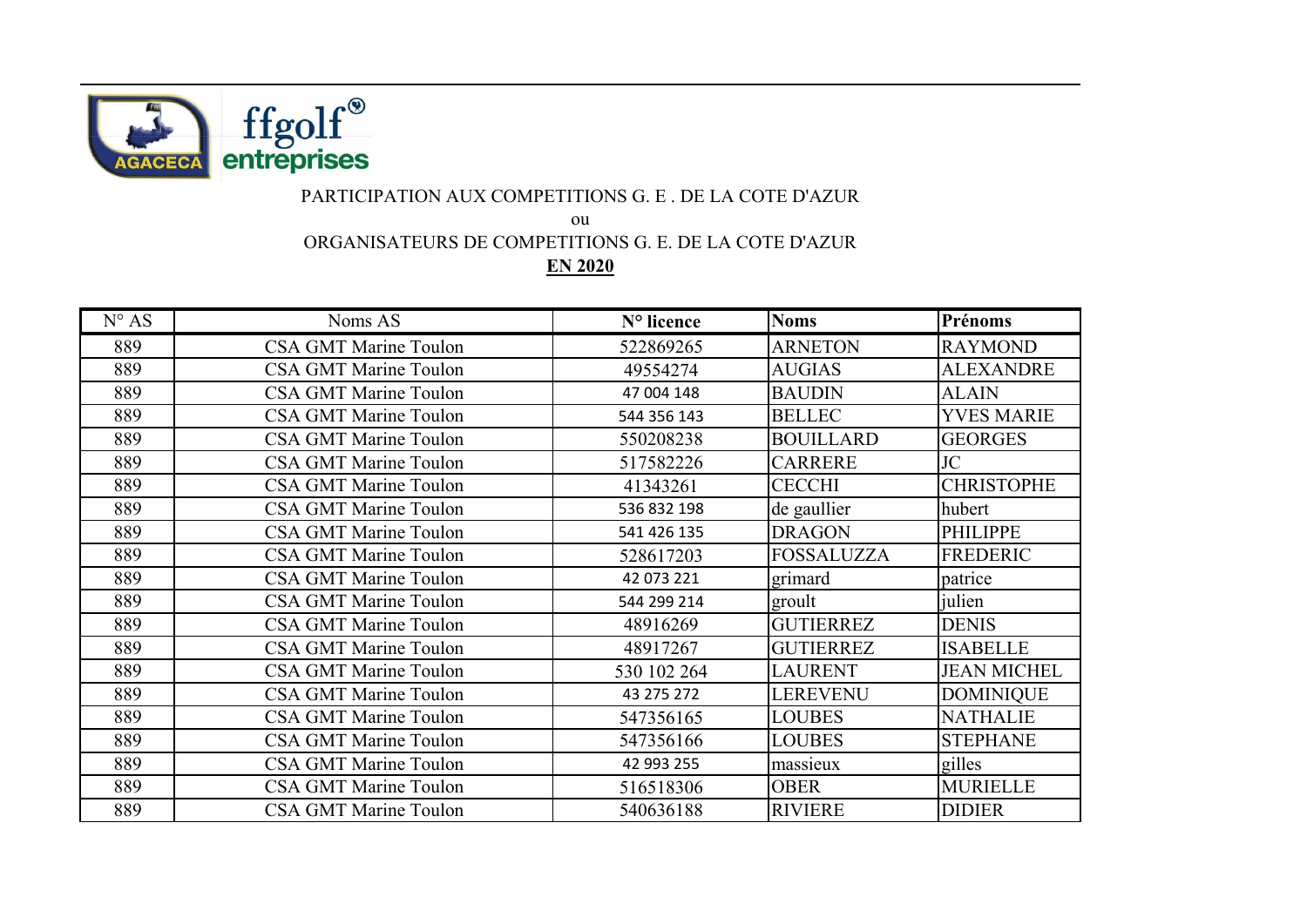

## PARTICIPATION AUX COMPETITIONS G. E . DE LA COTE D'AZUR

ou

ORGANISATEURS DE COMPETITIONS G. E. DE LA COTE D'AZUR

**EN 2020**

| $N^{\circ} AS$ | Noms AS                      | N° licence  | <b>Noms</b>       | Prénoms            |
|----------------|------------------------------|-------------|-------------------|--------------------|
| 889            | <b>CSA GMT Marine Toulon</b> | 522869265   | <b>ARNETON</b>    | <b>RAYMOND</b>     |
| 889            | <b>CSA GMT Marine Toulon</b> | 49554274    | <b>AUGIAS</b>     | <b>ALEXANDRE</b>   |
| 889            | <b>CSA GMT Marine Toulon</b> | 47 004 148  | <b>BAUDIN</b>     | <b>ALAIN</b>       |
| 889            | <b>CSA GMT Marine Toulon</b> | 544 356 143 | <b>BELLEC</b>     | <b>YVES MARIE</b>  |
| 889            | <b>CSA GMT Marine Toulon</b> | 550208238   | <b>BOUILLARD</b>  | <b>GEORGES</b>     |
| 889            | <b>CSA GMT Marine Toulon</b> | 517582226   | <b>CARRERE</b>    | JC                 |
| 889            | <b>CSA GMT Marine Toulon</b> | 41343261    | <b>CECCHI</b>     | <b>CHRISTOPHE</b>  |
| 889            | <b>CSA GMT Marine Toulon</b> | 536 832 198 | de gaullier       | hubert             |
| 889            | <b>CSA GMT Marine Toulon</b> | 541 426 135 | <b>DRAGON</b>     | <b>PHILIPPE</b>    |
| 889            | <b>CSA GMT Marine Toulon</b> | 528617203   | <b>FOSSALUZZA</b> | <b>FREDERIC</b>    |
| 889            | <b>CSA GMT Marine Toulon</b> | 42 073 221  | grimard           | patrice            |
| 889            | <b>CSA GMT Marine Toulon</b> | 544 299 214 | groult            | julien             |
| 889            | <b>CSA GMT Marine Toulon</b> | 48916269    | <b>GUTIERREZ</b>  | <b>DENIS</b>       |
| 889            | <b>CSA GMT Marine Toulon</b> | 48917267    | <b>GUTIERREZ</b>  | <b>ISABELLE</b>    |
| 889            | <b>CSA GMT Marine Toulon</b> | 530 102 264 | <b>LAURENT</b>    | <b>JEAN MICHEL</b> |
| 889            | <b>CSA GMT Marine Toulon</b> | 43 275 272  | <b>LEREVENU</b>   | <b>DOMINIQUE</b>   |
| 889            | <b>CSA GMT Marine Toulon</b> | 547356165   | <b>LOUBES</b>     | <b>NATHALIE</b>    |
| 889            | <b>CSA GMT Marine Toulon</b> | 547356166   | <b>LOUBES</b>     | <b>STEPHANE</b>    |
| 889            | <b>CSA GMT Marine Toulon</b> | 42 993 255  | massieux          | gilles             |
| 889            | <b>CSA GMT Marine Toulon</b> | 516518306   | <b>OBER</b>       | <b>MURIELLE</b>    |
| 889            | <b>CSA GMT Marine Toulon</b> | 540636188   | <b>RIVIERE</b>    | <b>DIDIER</b>      |